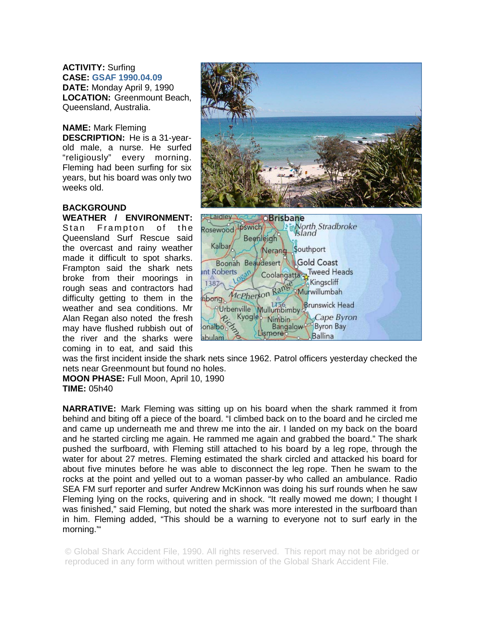**ACTIVITY:** Surfing **CASE: GSAF 1990.04.09 DATE:** Monday April 9, 1990 **LOCATION:** Greenmount Beach, Queensland, Australia.

**NAME:** Mark Fleming **DESCRIPTION:** He is a 31-yearold male, a nurse. He surfed "religiously" every morning. Fleming had been surfing for six years, but his board was only two weeks old.

## **BACKGROUND**

## **WEATHER / ENVIRONMENT:**  Stan Frampton of the Queensland Surf Rescue said the overcast and rainy weather made it difficult to spot sharks. Frampton said the shark nets broke from their moorings in rough seas and contractors had difficulty getting to them in the weather and sea conditions. Mr Alan Regan also noted the fresh may have flushed rubbish out of the river and the sharks were coming in to eat, and said this





was the first incident inside the shark nets since 1962. Patrol officers yesterday checked the nets near Greenmount but found no holes.

**MOON PHASE:** Full Moon, April 10, 1990 **TIME:** 05h40

**NARRATIVE:** Mark Fleming was sitting up on his board when the shark rammed it from behind and biting off a piece of the board. "I climbed back on to the board and he circled me and came up underneath me and threw me into the air. I landed on my back on the board and he started circling me again. He rammed me again and grabbed the board." The shark pushed the surfboard, with Fleming still attached to his board by a leg rope, through the water for about 27 metres. Fleming estimated the shark circled and attacked his board for about five minutes before he was able to disconnect the leg rope. Then he swam to the rocks at the point and yelled out to a woman passer-by who called an ambulance. Radio SEA FM surf reporter and surfer Andrew McKinnon was doing his surf rounds when he saw Fleming lying on the rocks, quivering and in shock. "It really mowed me down; I thought I was finished," said Fleming, but noted the shark was more interested in the surfboard than in him. Fleming added, "This should be a warning to everyone not to surf early in the morning.'"

© Global Shark Accident File, 1990. All rights reserved. This report may not be abridged or reproduced in any form without written permission of the Global Shark Accident File.